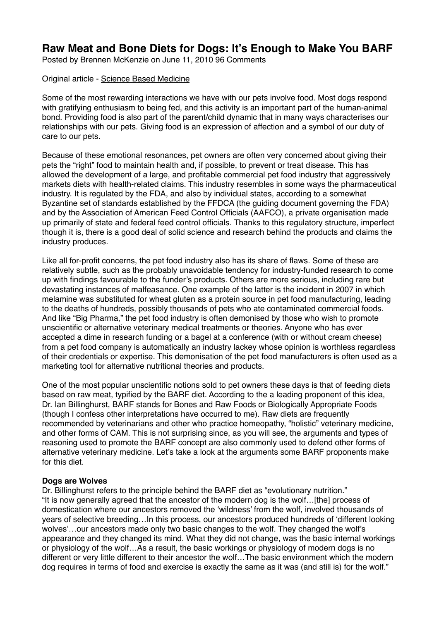# **Raw Meat and Bone Diets for Dogs: It's Enough to Make You BARF**

Posted by Brennen McKenzie on June 11, 2010 96 Comments

#### Original article - [Science Based Medicine](https://www.sciencebasedmedicine.org/raw-meat-and-bone-diets-for-dogs-its-enough-to-make-you-barf/)

Some of the most rewarding interactions we have with our pets involve food. Most dogs respond with gratifying enthusiasm to being fed, and this activity is an important part of the human-animal bond. Providing food is also part of the parent/child dynamic that in many ways characterises our relationships with our pets. Giving food is an expression of affection and a symbol of our duty of care to our pets.

Because of these emotional resonances, pet owners are often very concerned about giving their pets the "right" food to maintain health and, if possible, to prevent or treat disease. This has allowed the development of a large, and profitable commercial pet food industry that aggressively markets diets with health-related claims. This industry resembles in some ways the pharmaceutical industry. It is regulated by the FDA, and also by individual states, according to a somewhat Byzantine set of standards established by the FFDCA (the guiding document governing the FDA) and by the Association of American Feed Control Officials (AAFCO), a private organisation made up primarily of state and federal feed control officials. Thanks to this regulatory structure, imperfect though it is, there is a good deal of solid science and research behind the products and claims the industry produces.

Like all for-profit concerns, the pet food industry also has its share of flaws. Some of these are relatively subtle, such as the probably unavoidable tendency for industry-funded research to come up with findings favourable to the funder's products. Others are more serious, including rare but devastating instances of malfeasance. One example of the latter is the incident in 2007 in which melamine was substituted for wheat gluten as a protein source in pet food manufacturing, leading to the deaths of hundreds, possibly thousands of pets who ate contaminated commercial foods. And like "Big Pharma," the pet food industry is often demonised by those who wish to promote unscientific or alternative veterinary medical treatments or theories. Anyone who has ever accepted a dime in research funding or a bagel at a conference (with or without cream cheese) from a pet food company is automatically an industry lackey whose opinion is worthless regardless of their credentials or expertise. This demonisation of the pet food manufacturers is often used as a marketing tool for alternative nutritional theories and products.

One of the most popular unscientific notions sold to pet owners these days is that of feeding diets based on raw meat, typified by the BARF diet. According to the a leading proponent of this idea, Dr. Ian Billinghurst, BARF stands for Bones and Raw Foods or Biologically Appropriate Foods (though I confess other interpretations have occurred to me). Raw diets are frequently recommended by veterinarians and other who practice homeopathy, "holistic" veterinary medicine, and other forms of CAM. This is not surprising since, as you will see, the arguments and types of reasoning used to promote the BARF concept are also commonly used to defend other forms of alternative veterinary medicine. Let's take a look at the arguments some BARF proponents make for this diet.

# **Dogs are Wolves**

Dr. Billinghurst refers to the principle behind the BARF diet as "evolutionary nutrition." "It is now generally agreed that the ancestor of the modern dog is the wolf…[the] process of domestication where our ancestors removed the 'wildness' from the wolf, involved thousands of years of selective breeding…In this process, our ancestors produced hundreds of 'different looking wolves'…our ancestors made only two basic changes to the wolf. They changed the wolf's appearance and they changed its mind. What they did not change, was the basic internal workings or physiology of the wolf…As a result, the basic workings or physiology of modern dogs is no different or very little different to their ancestor the wolf…The basic environment which the modern dog requires in terms of food and exercise is exactly the same as it was (and still is) for the wolf."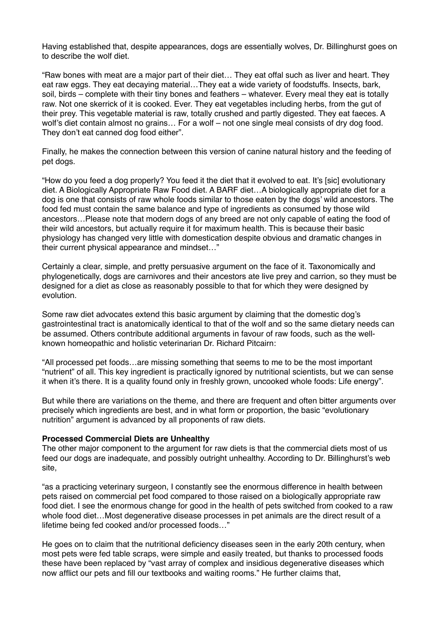Having established that, despite appearances, dogs are essentially wolves, Dr. Billinghurst goes on to describe the wolf diet.

"Raw bones with meat are a major part of their diet… They eat offal such as liver and heart. They eat raw eggs. They eat decaying material…They eat a wide variety of foodstuffs. Insects, bark, soil, birds – complete with their tiny bones and feathers – whatever. Every meal they eat is totally raw. Not one skerrick of it is cooked. Ever. They eat vegetables including herbs, from the gut of their prey. This vegetable material is raw, totally crushed and partly digested. They eat faeces. A wolf's diet contain almost no grains… For a wolf – not one single meal consists of dry dog food. They don't eat canned dog food either".

Finally, he makes the connection between this version of canine natural history and the feeding of pet dogs.

"How do you feed a dog properly? You feed it the diet that it evolved to eat. It's [sic] evolutionary diet. A Biologically Appropriate Raw Food diet. A BARF diet…A biologically appropriate diet for a dog is one that consists of raw whole foods similar to those eaten by the dogs' wild ancestors. The food fed must contain the same balance and type of ingredients as consumed by those wild ancestors…Please note that modern dogs of any breed are not only capable of eating the food of their wild ancestors, but actually require it for maximum health. This is because their basic physiology has changed very little with domestication despite obvious and dramatic changes in their current physical appearance and mindset…"

Certainly a clear, simple, and pretty persuasive argument on the face of it. Taxonomically and phylogenetically, dogs are carnivores and their ancestors ate live prey and carrion, so they must be designed for a diet as close as reasonably possible to that for which they were designed by evolution.

Some raw diet advocates extend this basic argument by claiming that the domestic dog's gastrointestinal tract is anatomically identical to that of the wolf and so the same dietary needs can be assumed. Others contribute additional arguments in favour of raw foods, such as the wellknown homeopathic and holistic veterinarian Dr. Richard Pitcairn:

"All processed pet foods…are missing something that seems to me to be the most important "nutrient" of all. This key ingredient is practically ignored by nutritional scientists, but we can sense it when it's there. It is a quality found only in freshly grown, uncooked whole foods: Life energy".

But while there are variations on the theme, and there are frequent and often bitter arguments over precisely which ingredients are best, and in what form or proportion, the basic "evolutionary nutrition" argument is advanced by all proponents of raw diets.

#### **Processed Commercial Diets are Unhealthy**

The other major component to the argument for raw diets is that the commercial diets most of us feed our dogs are inadequate, and possibly outright unhealthy. According to Dr. Billinghurst's web site,

"as a practicing veterinary surgeon, I constantly see the enormous difference in health between pets raised on commercial pet food compared to those raised on a biologically appropriate raw food diet. I see the enormous change for good in the health of pets switched from cooked to a raw whole food diet…Most degenerative disease processes in pet animals are the direct result of a lifetime being fed cooked and/or processed foods…"

He goes on to claim that the nutritional deficiency diseases seen in the early 20th century, when most pets were fed table scraps, were simple and easily treated, but thanks to processed foods these have been replaced by "vast array of complex and insidious degenerative diseases which now afflict our pets and fill our textbooks and waiting rooms." He further claims that,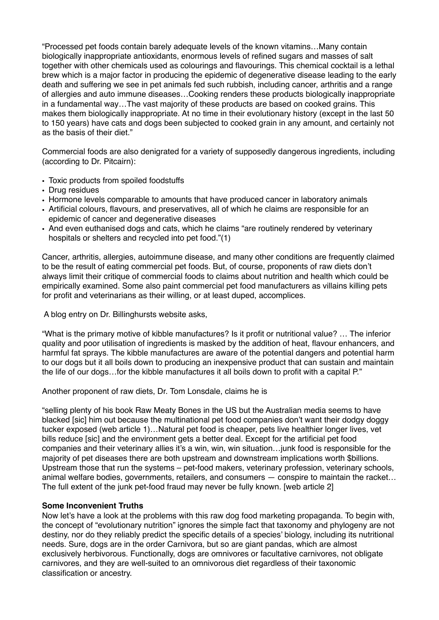"Processed pet foods contain barely adequate levels of the known vitamins…Many contain biologically inappropriate antioxidants, enormous levels of refined sugars and masses of salt together with other chemicals used as colourings and flavourings. This chemical cocktail is a lethal brew which is a major factor in producing the epidemic of degenerative disease leading to the early death and suffering we see in pet animals fed such rubbish, including cancer, arthritis and a range of allergies and auto immune diseases…Cooking renders these products biologically inappropriate in a fundamental way…The vast majority of these products are based on cooked grains. This makes them biologically inappropriate. At no time in their evolutionary history (except in the last 50 to 150 years) have cats and dogs been subjected to cooked grain in any amount, and certainly not as the basis of their diet."

Commercial foods are also denigrated for a variety of supposedly dangerous ingredients, including (according to Dr. Pitcairn):

- Toxic products from spoiled foodstuffs
- Drug residues
- Hormone levels comparable to amounts that have produced cancer in laboratory animals
- Artificial colours, flavours, and preservatives, all of which he claims are responsible for an epidemic of cancer and degenerative diseases
- And even euthanised dogs and cats, which he claims "are routinely rendered by veterinary hospitals or shelters and recycled into pet food."(1)

Cancer, arthritis, allergies, autoimmune disease, and many other conditions are frequently claimed to be the result of eating commercial pet foods. But, of course, proponents of raw diets don't always limit their critique of commercial foods to claims about nutrition and health which could be empirically examined. Some also paint commercial pet food manufacturers as villains killing pets for profit and veterinarians as their willing, or at least duped, accomplices.

A blog entry on Dr. Billinghursts website asks,

"What is the primary motive of kibble manufactures? Is it profit or nutritional value? … The inferior quality and poor utilisation of ingredients is masked by the addition of heat, flavour enhancers, and harmful fat sprays. The kibble manufactures are aware of the potential dangers and potential harm to our dogs but it all boils down to producing an inexpensive product that can sustain and maintain the life of our dogs…for the kibble manufactures it all boils down to profit with a capital P."

Another proponent of raw diets, Dr. Tom Lonsdale, claims he is

"selling plenty of his book Raw Meaty Bones in the US but the Australian media seems to have blacked [sic] him out because the multinational pet food companies don't want their dodgy doggy tucker exposed (web article 1)…Natural pet food is cheaper, pets live healthier longer lives, vet bills reduce [sic] and the environment gets a better deal. Except for the artificial pet food companies and their veterinary allies it's a win, win, win situation…junk food is responsible for the majority of pet diseases there are both upstream and downstream implications worth \$billions. Upstream those that run the systems – pet-food makers, veterinary profession, veterinary schools, animal welfare bodies, governments, retailers, and consumers — conspire to maintain the racket… The full extent of the junk pet-food fraud may never be fully known. [web article 2]

#### **Some Inconvenient Truths**

Now let's have a look at the problems with this raw dog food marketing propaganda. To begin with, the concept of "evolutionary nutrition" ignores the simple fact that taxonomy and phylogeny are not destiny, nor do they reliably predict the specific details of a species' biology, including its nutritional needs. Sure, dogs are in the order Carnivora, but so are giant pandas, which are almost exclusively herbivorous. Functionally, dogs are omnivores or facultative carnivores, not obligate carnivores, and they are well-suited to an omnivorous diet regardless of their taxonomic classification or ancestry.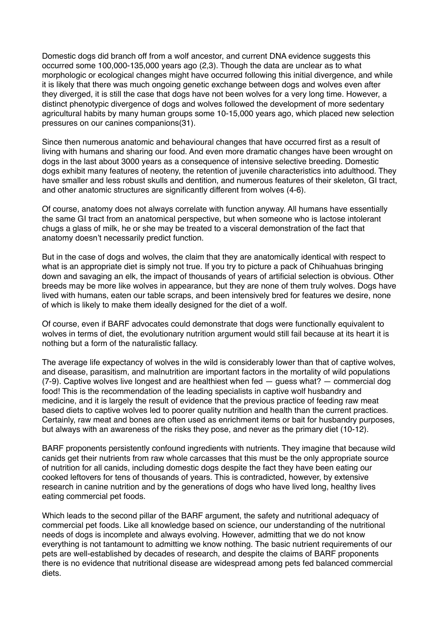Domestic dogs did branch off from a wolf ancestor, and current DNA evidence suggests this occurred some 100,000-135,000 years ago (2,3). Though the data are unclear as to what morphologic or ecological changes might have occurred following this initial divergence, and while it is likely that there was much ongoing genetic exchange between dogs and wolves even after they diverged, it is still the case that dogs have not been wolves for a very long time. However, a distinct phenotypic divergence of dogs and wolves followed the development of more sedentary agricultural habits by many human groups some 10-15,000 years ago, which placed new selection pressures on our canines companions(31).

Since then numerous anatomic and behavioural changes that have occurred first as a result of living with humans and sharing our food. And even more dramatic changes have been wrought on dogs in the last about 3000 years as a consequence of intensive selective breeding. Domestic dogs exhibit many features of neoteny, the retention of juvenile characteristics into adulthood. They have smaller and less robust skulls and dentition, and numerous features of their skeleton, GI tract, and other anatomic structures are significantly different from wolves (4-6).

Of course, anatomy does not always correlate with function anyway. All humans have essentially the same GI tract from an anatomical perspective, but when someone who is lactose intolerant chugs a glass of milk, he or she may be treated to a visceral demonstration of the fact that anatomy doesn't necessarily predict function.

But in the case of dogs and wolves, the claim that they are anatomically identical with respect to what is an appropriate diet is simply not true. If you try to picture a pack of Chihuahuas bringing down and savaging an elk, the impact of thousands of years of artificial selection is obvious. Other breeds may be more like wolves in appearance, but they are none of them truly wolves. Dogs have lived with humans, eaten our table scraps, and been intensively bred for features we desire, none of which is likely to make them ideally designed for the diet of a wolf.

Of course, even if BARF advocates could demonstrate that dogs were functionally equivalent to wolves in terms of diet, the evolutionary nutrition argument would still fail because at its heart it is nothing but a form of the naturalistic fallacy.

The average life expectancy of wolves in the wild is considerably lower than that of captive wolves, and disease, parasitism, and malnutrition are important factors in the mortality of wild populations  $(7-9)$ . Captive wolves live longest and are healthiest when fed  $-$  guess what?  $-$  commercial dog food! This is the recommendation of the leading specialists in captive wolf husbandry and medicine, and it is largely the result of evidence that the previous practice of feeding raw meat based diets to captive wolves led to poorer quality nutrition and health than the current practices. Certainly, raw meat and bones are often used as enrichment items or bait for husbandry purposes, but always with an awareness of the risks they pose, and never as the primary diet (10-12).

BARF proponents persistently confound ingredients with nutrients. They imagine that because wild canids get their nutrients from raw whole carcasses that this must be the only appropriate source of nutrition for all canids, including domestic dogs despite the fact they have been eating our cooked leftovers for tens of thousands of years. This is contradicted, however, by extensive research in canine nutrition and by the generations of dogs who have lived long, healthy lives eating commercial pet foods.

Which leads to the second pillar of the BARF argument, the safety and nutritional adequacy of commercial pet foods. Like all knowledge based on science, our understanding of the nutritional needs of dogs is incomplete and always evolving. However, admitting that we do not know everything is not tantamount to admitting we know nothing. The basic nutrient requirements of our pets are well-established by decades of research, and despite the claims of BARF proponents there is no evidence that nutritional disease are widespread among pets fed balanced commercial diets.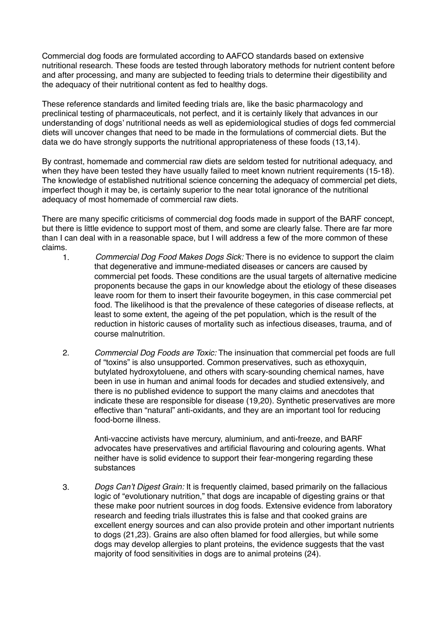Commercial dog foods are formulated according to AAFCO standards based on extensive nutritional research. These foods are tested through laboratory methods for nutrient content before and after processing, and many are subjected to feeding trials to determine their digestibility and the adequacy of their nutritional content as fed to healthy dogs.

These reference standards and limited feeding trials are, like the basic pharmacology and preclinical testing of pharmaceuticals, not perfect, and it is certainly likely that advances in our understanding of dogs' nutritional needs as well as epidemiological studies of dogs fed commercial diets will uncover changes that need to be made in the formulations of commercial diets. But the data we do have strongly supports the nutritional appropriateness of these foods (13,14).

By contrast, homemade and commercial raw diets are seldom tested for nutritional adequacy, and when they have been tested they have usually failed to meet known nutrient requirements (15-18). The knowledge of established nutritional science concerning the adequacy of commercial pet diets, imperfect though it may be, is certainly superior to the near total ignorance of the nutritional adequacy of most homemade of commercial raw diets.

There are many specific criticisms of commercial dog foods made in support of the BARF concept, but there is little evidence to support most of them, and some are clearly false. There are far more than I can deal with in a reasonable space, but I will address a few of the more common of these claims.

- 1. *Commercial Dog Food Makes Dogs Sick:* There is no evidence to support the claim that degenerative and immune-mediated diseases or cancers are caused by commercial pet foods. These conditions are the usual targets of alternative medicine proponents because the gaps in our knowledge about the etiology of these diseases leave room for them to insert their favourite bogeymen, in this case commercial pet food. The likelihood is that the prevalence of these categories of disease reflects, at least to some extent, the ageing of the pet population, which is the result of the reduction in historic causes of mortality such as infectious diseases, trauma, and of course malnutrition.
- 2. *Commercial Dog Foods are Toxic:* The insinuation that commercial pet foods are full of "toxins" is also unsupported. Common preservatives, such as ethoxyquin, butylated hydroxytoluene, and others with scary-sounding chemical names, have been in use in human and animal foods for decades and studied extensively, and there is no published evidence to support the many claims and anecdotes that indicate these are responsible for disease (19,20). Synthetic preservatives are more effective than "natural" anti-oxidants, and they are an important tool for reducing food-borne illness.

Anti-vaccine activists have mercury, aluminium, and anti-freeze, and BARF advocates have preservatives and artificial flavouring and colouring agents. What neither have is solid evidence to support their fear-mongering regarding these substances

3. *Dogs Can't Digest Grain:* It is frequently claimed, based primarily on the fallacious logic of "evolutionary nutrition," that dogs are incapable of digesting grains or that these make poor nutrient sources in dog foods. Extensive evidence from laboratory research and feeding trials illustrates this is false and that cooked grains are excellent energy sources and can also provide protein and other important nutrients to dogs (21,23). Grains are also often blamed for food allergies, but while some dogs may develop allergies to plant proteins, the evidence suggests that the vast majority of food sensitivities in dogs are to animal proteins (24).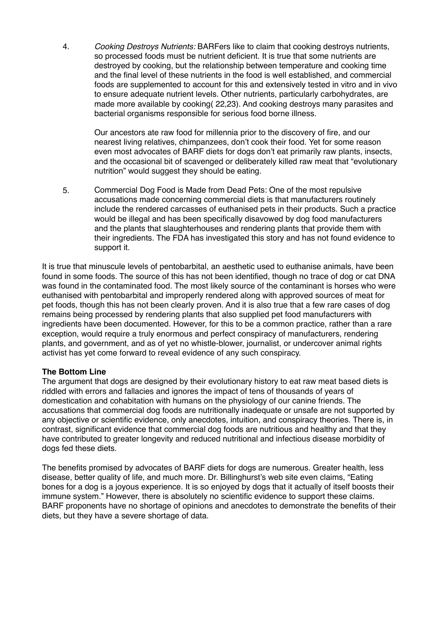4. *Cooking Destroys Nutrients:* BARFers like to claim that cooking destroys nutrients, so processed foods must be nutrient deficient. It is true that some nutrients are destroyed by cooking, but the relationship between temperature and cooking time and the final level of these nutrients in the food is well established, and commercial foods are supplemented to account for this and extensively tested in vitro and in vivo to ensure adequate nutrient levels. Other nutrients, particularly carbohydrates, are made more available by cooking( 22,23). And cooking destroys many parasites and bacterial organisms responsible for serious food borne illness.

Our ancestors ate raw food for millennia prior to the discovery of fire, and our nearest living relatives, chimpanzees, don't cook their food. Yet for some reason even most advocates of BARF diets for dogs don't eat primarily raw plants, insects, and the occasional bit of scavenged or deliberately killed raw meat that "evolutionary nutrition" would suggest they should be eating.

5. Commercial Dog Food is Made from Dead Pets: One of the most repulsive accusations made concerning commercial diets is that manufacturers routinely include the rendered carcasses of euthanised pets in their products. Such a practice would be illegal and has been specifically disavowed by dog food manufacturers and the plants that slaughterhouses and rendering plants that provide them with their ingredients. The FDA has investigated this story and has not found evidence to support it.

It is true that minuscule levels of pentobarbital, an aesthetic used to euthanise animals, have been found in some foods. The source of this has not been identified, though no trace of dog or cat DNA was found in the contaminated food. The most likely source of the contaminant is horses who were euthanised with pentobarbital and improperly rendered along with approved sources of meat for pet foods, though this has not been clearly proven. And it is also true that a few rare cases of dog remains being processed by rendering plants that also supplied pet food manufacturers with ingredients have been documented. However, for this to be a common practice, rather than a rare exception, would require a truly enormous and perfect conspiracy of manufacturers, rendering plants, and government, and as of yet no whistle-blower, journalist, or undercover animal rights activist has yet come forward to reveal evidence of any such conspiracy.

# **The Bottom Line**

The argument that dogs are designed by their evolutionary history to eat raw meat based diets is riddled with errors and fallacies and ignores the impact of tens of thousands of years of domestication and cohabitation with humans on the physiology of our canine friends. The accusations that commercial dog foods are nutritionally inadequate or unsafe are not supported by any objective or scientific evidence, only anecdotes, intuition, and conspiracy theories. There is, in contrast, significant evidence that commercial dog foods are nutritious and healthy and that they have contributed to greater longevity and reduced nutritional and infectious disease morbidity of dogs fed these diets.

The benefits promised by advocates of BARF diets for dogs are numerous. Greater health, less disease, better quality of life, and much more. Dr. Billinghurst's web site even claims, "Eating bones for a dog is a joyous experience. It is so enjoyed by dogs that it actually of itself boosts their immune system." However, there is absolutely no scientific evidence to support these claims. BARF proponents have no shortage of opinions and anecdotes to demonstrate the benefits of their diets, but they have a severe shortage of data.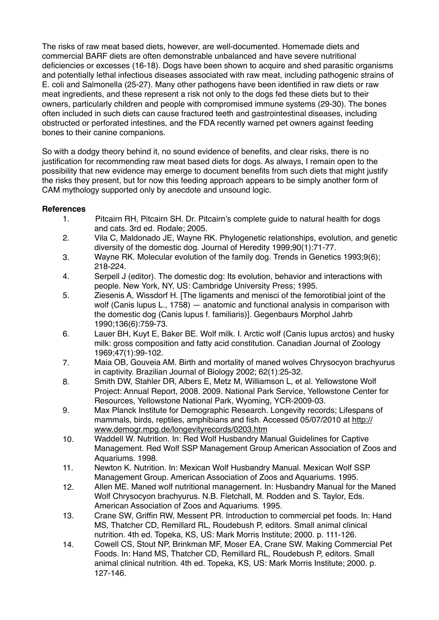The risks of raw meat based diets, however, are well-documented. Homemade diets and commercial BARF diets are often demonstrable unbalanced and have severe nutritional deficiencies or excesses (16-18). Dogs have been shown to acquire and shed parasitic organisms and potentially lethal infectious diseases associated with raw meat, including pathogenic strains of E. coli and Salmonella (25-27). Many other pathogens have been identified in raw diets or raw meat ingredients, and these represent a risk not only to the dogs fed these diets but to their owners, particularly children and people with compromised immune systems (29-30). The bones often included in such diets can cause fractured teeth and gastrointestinal diseases, including obstructed or perforated intestines, and the FDA recently warned pet owners against feeding bones to their canine companions.

So with a dodgy theory behind it, no sound evidence of benefits, and clear risks, there is no justification for recommending raw meat based diets for dogs. As always, I remain open to the possibility that new evidence may emerge to document benefits from such diets that might justify the risks they present, but for now this feeding approach appears to be simply another form of CAM mythology supported only by anecdote and unsound logic.

# **References**

- 1. Pitcairn RH, Pitcairn SH. Dr. Pitcairn's complete guide to natural health for dogs and cats. 3rd ed. Rodale; 2005.
- 2. Vila C, Maldonado JE, Wayne RK. Phylogenetic relationships, evolution, and genetic diversity of the domestic dog. Journal of Heredity 1999;90(1):71-77.
- 3. Wayne RK. Molecular evolution of the family dog. Trends in Genetics 1993;9(6); 218-224.
- 4. Serpell J (editor). The domestic dog: Its evolution, behavior and interactions with people. New York, NY, US: Cambridge University Press; 1995.
- 5. Ziesenis A, Wissdorf H. [The ligaments and menisci of the femorotibial joint of the wolf (Canis lupus L., 1758) — anatomic and functional analysis in comparison with the domestic dog (Canis lupus f. familiaris)]. Gegenbaurs Morphol Jahrb 1990;136(6):759-73.
- 6. Lauer BH, Kuyt E, Baker BE. Wolf milk. I. Arctic wolf (Canis lupus arctos) and husky milk: gross composition and fatty acid constitution. Canadian Journal of Zoology 1969;47(1):99-102.
- 7. Maia OB, Gouveia AM. Birth and mortality of maned wolves Chrysocyon brachyurus in captivity. Brazilian Journal of Biology 2002; 62(1):25-32.
- 8. Smith DW, Stahler DR, Albers E, Metz M, Williamson L, et al. Yellowstone Wolf Project: Annual Report, 2008. 2009. National Park Service, Yellowstone Center for Resources, Yellowstone National Park, Wyoming, YCR-2009-03.
- 9. Max Planck Institute for Demographic Research. Longevity records; Lifespans of [mammals, birds, reptiles, amphibians and fish. Accessed 05/07/2010 at http://](http://www.demogr.mpg.de/longevityrecords/0203.htm) www.demogr.mpg.de/longevityrecords/0203.htm
- 10. Waddell W. Nutrition. In: Red Wolf Husbandry Manual Guidelines for Captive Management. Red Wolf SSP Management Group American Association of Zoos and Aquariums. 1998.
- 11. Newton K. Nutrition. In: Mexican Wolf Husbandry Manual. Mexican Wolf SSP Management Group. American Association of Zoos and Aquariums. 1995.
- 12. Allen ME. Maned wolf nutritional management. In: Husbandry Manual for the Maned Wolf Chrysocyon brachyurus. N.B. Fletchall, M. Rodden and S. Taylor, Eds. American Association of Zoos and Aquariums. 1995.
- 13. Crane SW, Griffin RW, Messent PR. Introduction to commercial pet foods. In: Hand MS, Thatcher CD, Remillard RL, Roudebush P, editors. Small animal clinical nutrition. 4th ed. Topeka, KS, US: Mark Morris Institute; 2000. p. 111-126.
- 14. Cowell CS, Stout NP, Brinkman MF, Moser EA, Crane SW. Making Commercial Pet Foods. In: Hand MS, Thatcher CD, Remillard RL, Roudebush P, editors. Small animal clinical nutrition. 4th ed. Topeka, KS, US: Mark Morris Institute; 2000. p. 127-146.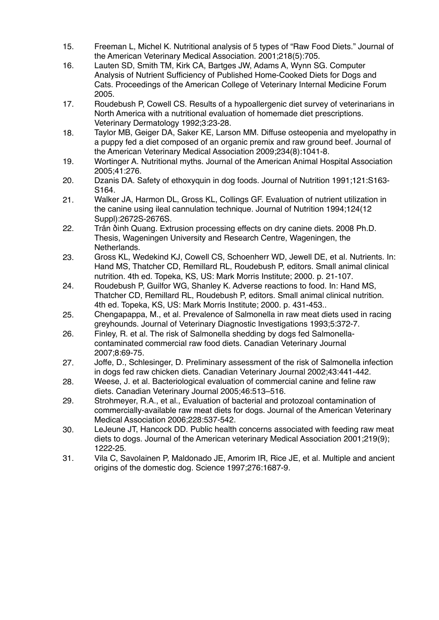- 15. Freeman L, Michel K. Nutritional analysis of 5 types of "Raw Food Diets." Journal of the American Veterinary Medical Association. 2001;218(5):705.
- 16. Lauten SD, Smith TM, Kirk CA, Bartges JW, Adams A, Wynn SG. Computer Analysis of Nutrient Sufficiency of Published Home-Cooked Diets for Dogs and Cats. Proceedings of the American College of Veterinary Internal Medicine Forum 2005.
- 17. Roudebush P, Cowell CS. Results of a hypoallergenic diet survey of veterinarians in North America with a nutritional evaluation of homemade diet prescriptions. Veterinary Dermatology 1992;3:23-28.
- 18. Taylor MB, Geiger DA, Saker KE, Larson MM. Diffuse osteopenia and myelopathy in a puppy fed a diet composed of an organic premix and raw ground beef. Journal of the American Veterinary Medical Association 2009;234(8):1041-8.
- 19. Wortinger A. Nutritional myths. Journal of the American Animal Hospital Association 2005;41:276.
- 20. Dzanis DA. Safety of ethoxyquin in dog foods. Journal of Nutrition 1991;121:S163- S164.
- 21. Walker JA, Harmon DL, Gross KL, Collings GF. Evaluation of nutrient utilization in the canine using ileal cannulation technique. Journal of Nutrition 1994;124(12 Suppl):2672S-2676S.
- 22. Trân ðình Quang. Extrusion processing effects on dry canine diets. 2008 Ph.D. Thesis, Wageningen University and Research Centre, Wageningen, the Netherlands.
- 23. Gross KL, Wedekind KJ, Cowell CS, Schoenherr WD, Jewell DE, et al. Nutrients. In: Hand MS, Thatcher CD, Remillard RL, Roudebush P, editors. Small animal clinical nutrition. 4th ed. Topeka, KS, US: Mark Morris Institute; 2000. p. 21-107.
- 24. Roudebush P, Guilfor WG, Shanley K. Adverse reactions to food. In: Hand MS, Thatcher CD, Remillard RL, Roudebush P, editors. Small animal clinical nutrition. 4th ed. Topeka, KS, US: Mark Morris Institute; 2000. p. 431-453..
- 25. Chengapappa, M., et al. Prevalence of Salmonella in raw meat diets used in racing greyhounds. Journal of Veterinary Diagnostic Investigations 1993;5:372-7.
- 26. Finley, R. et al. The risk of Salmonella shedding by dogs fed Salmonellacontaminated commercial raw food diets. Canadian Veterinary Journal 2007;8:69-75.
- 27. Joffe, D., Schlesinger, D. Preliminary assessment of the risk of Salmonella infection in dogs fed raw chicken diets. Canadian Veterinary Journal 2002;43:441-442.
- 28. Weese, J. et al. Bacteriological evaluation of commercial canine and feline raw diets. Canadian Veterinary Journal 2005;46:513–516.
- 29. Strohmeyer, R.A., et al., Evaluation of bacterial and protozoal contamination of commercially-available raw meat diets for dogs. Journal of the American Veterinary Medical Association 2006;228:537-542.
- 30. LeJeune JT, Hancock DD. Public health concerns associated with feeding raw meat diets to dogs. Journal of the American veterinary Medical Association 2001;219(9); 1222-25.
- 31. Vila C, Savolainen P, Maldonado JE, Amorim IR, Rice JE, et al. Multiple and ancient origins of the domestic dog. Science 1997;276:1687-9.